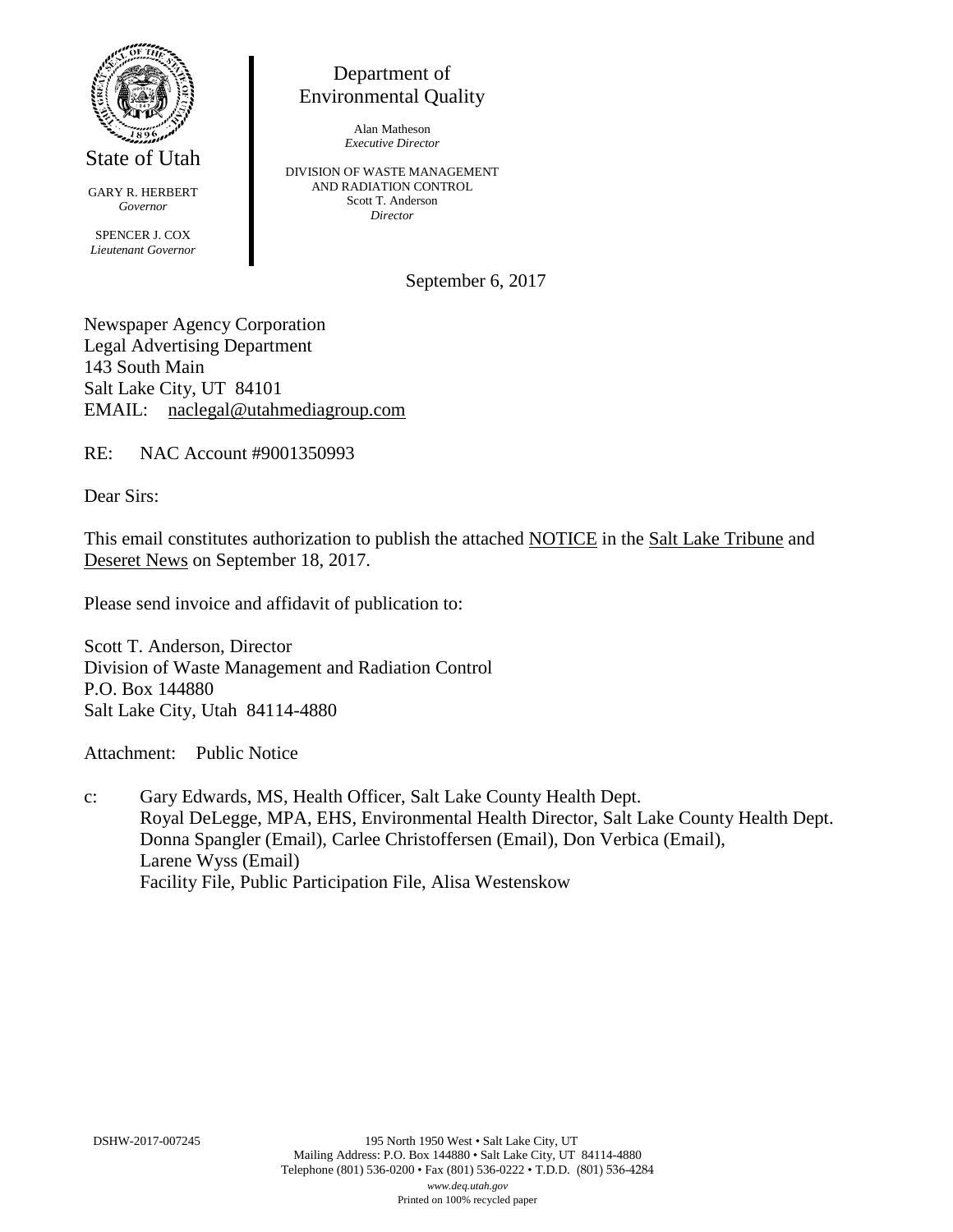

State of Utah

GARY R. HERBERT *Governor* SPENCER J. COX *Lieutenant Governor*

Department of Environmental Quality

> Alan Matheson *Executive Director*

DIVISION OF WASTE MANAGEMENT AND RADIATION CONTROL Scott T. Anderson *Director*

September 6, 2017

Newspaper Agency Corporation Legal Advertising Department 143 South Main Salt Lake City, UT 84101 EMAIL: naclegal@utahmediagroup.com

RE: NAC Account #9001350993

Dear Sirs:

This email constitutes authorization to publish the attached NOTICE in the Salt Lake Tribune and Deseret News on September 18, 2017.

Please send invoice and affidavit of publication to:

Scott T. Anderson, Director Division of Waste Management and Radiation Control P.O. Box 144880 Salt Lake City, Utah 84114-4880

Attachment: Public Notice

c: Gary Edwards, MS, Health Officer, Salt Lake County Health Dept. Royal DeLegge, MPA, EHS, Environmental Health Director, Salt Lake County Health Dept. Donna Spangler (Email), Carlee Christoffersen (Email), Don Verbica (Email), Larene Wyss (Email) Facility File, Public Participation File, Alisa Westenskow